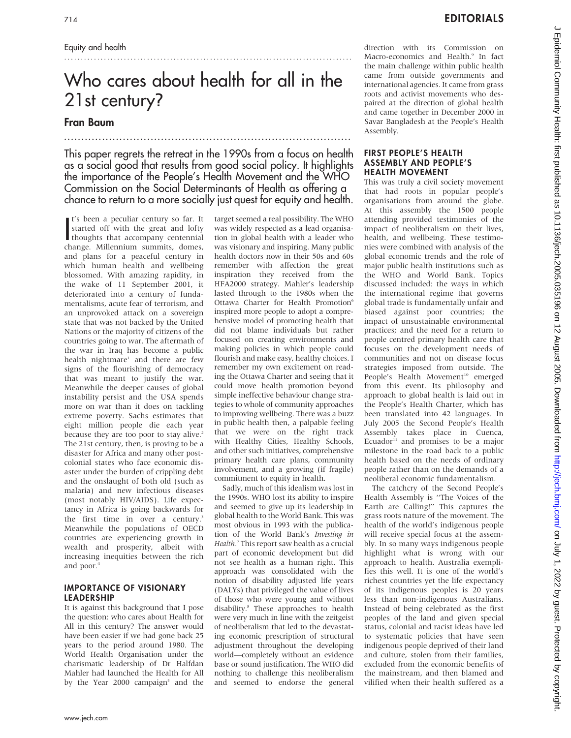Equity and health

# Who cares about health for all in the 21st century?

.......................................................................................

## Fran Baum

This paper regrets the retreat in the 1990s from a focus on health as a social good that results from good social policy. It highlights the importance of the People's Health Movement and the WHO Commission on the Social Determinants of Health as offering a chance to return to a more socially just quest for equity and health.

...................................................................................

I's been a pecular century so far. It<br>started off with the great and lofty<br>thoughts that accompany centennial<br>change Millennium cummite domes t's been a peculiar century so far. It started off with the great and lofty change. Millennium summits, domes, and plans for a peaceful century in which human health and wellbeing blossomed. With amazing rapidity, in the wake of 11 September 2001, it deteriorated into a century of fundamentalisms, acute fear of terrorism, and an unprovoked attack on a sovereign state that was not backed by the United Nations or the majority of citizens of the countries going to war. The aftermath of the war in Iraq has become a public health nightmare<sup>1</sup> and there are few signs of the flourishing of democracy that was meant to justify the war. Meanwhile the deeper causes of global instability persist and the USA spends more on war than it does on tackling extreme poverty. Sachs estimates that eight million people die each year because they are too poor to stay alive.<sup>2</sup> The 21st century, then, is proving to be a disaster for Africa and many other postcolonial states who face economic disaster under the burden of crippling debt and the onslaught of both old (such as malaria) and new infectious diseases (most notably HIV/AIDS). Life expectancy in Africa is going backwards for the first time in over a century.<sup>3</sup> Meanwhile the populations of OECD countries are experiencing growth in wealth and prosperity, albeit with increasing inequities between the rich and poor.<sup>4</sup>

### IMPORTANCE OF VISIONARY LEADERSHIP

It is against this background that I pose the question: who cares about Health for All in this century? The answer would have been easier if we had gone back 25 years to the period around 1980. The World Health Organisation under the charismatic leadership of Dr Halfdan Mahler had launched the Health for All by the Year 2000 campaign<sup>5</sup> and the target seemed a real possibility. The WHO was widely respected as a lead organisation in global health with a leader who was visionary and inspiring. Many public health doctors now in their 50s and 60s remember with affection the great inspiration they received from the HFA2000 strategy. Mahler's leadership lasted through to the 1980s when the Ottawa Charter for Health Promotion<sup>6</sup> inspired more people to adopt a comprehensive model of promoting health that did not blame individuals but rather focused on creating environments and making policies in which people could flourish and make easy, healthy choices. I remember my own excitement on reading the Ottawa Charter and seeing that it could move health promotion beyond simple ineffective behaviour change strategies to whole of community approaches to improving wellbeing. There was a buzz in public health then, a palpable feeling that we were on the right track with Healthy Cities, Healthy Schools, and other such initiatives, comprehensive primary health care plans, community involvement, and a growing (if fragile) commitment to equity in health.

Sadly, much of this idealism was lost in the 1990s. WHO lost its ability to inspire and seemed to give up its leadership in global health to the World Bank. This was most obvious in 1993 with the publication of the World Bank's Investing in Health.<sup>7</sup> This report saw health as a crucial part of economic development but did not see health as a human right. This approach was consolidated with the notion of disability adjusted life years (DALYs) that privileged the value of lives of those who were young and without disability.8 These approaches to health were very much in line with the zeitgeist of neoliberalism that led to the devastating economic prescription of structural adjustment throughout the developing world—completely without an evidence base or sound justification. The WHO did nothing to challenge this neoliberalism and seemed to endorse the general

direction with its Commission on Macro-economics and Health.<sup>9</sup> In fact the main challenge within public health came from outside governments and international agencies. It came from grass roots and activist movements who despaired at the direction of global health and came together in December 2000 in Savar Bangladesh at the People's Health Assembly.

### FIRST PEOPLE'S HEALTH ASSEMBLY AND PEOPLE'S HEALTH MOVEMENT

This was truly a civil society movement that had roots in popular people's organisations from around the globe. At this assembly the 1500 people attending provided testimonies of the impact of neoliberalism on their lives, health, and wellbeing. These testimonies were combined with analysis of the global economic trends and the role of major public health institutions such as the WHO and World Bank. Topics discussed included: the ways in which the international regime that governs global trade is fundamentally unfair and biased against poor countries; the impact of unsustainable environmental practices; and the need for a return to people centred primary health care that focuses on the development needs of communities and not on disease focus strategies imposed from outside. The People's Health Movement<sup>10</sup> emerged from this event. Its philosophy and approach to global health is laid out in the People's Health Charter, which has been translated into 42 languages. In July 2005 the Second People's Health Assembly takes place in Cuenca, Ecuador $^{11}$  and promises to be a major milestone in the road back to a public health based on the needs of ordinary people rather than on the demands of a neoliberal economic fundamentalism.

The catchcry of the Second People's Health Assembly is ''The Voices of the Earth are Calling!'' This captures the grass roots nature of the movement. The health of the world's indigenous people will receive special focus at the assembly. In so many ways indigenous people highlight what is wrong with our approach to health. Australia exemplifies this well. It is one of the world's richest countries yet the life expectancy of its indigenous peoples is 20 years less than non-indigenous Australians. Instead of being celebrated as the first peoples of the land and given special status, colonial and racist ideas have led to systematic policies that have seen indigenous people deprived of their land and culture, stolen from their families, excluded from the economic benefits of the mainstream, and then blamed and vilified when their health suffered as a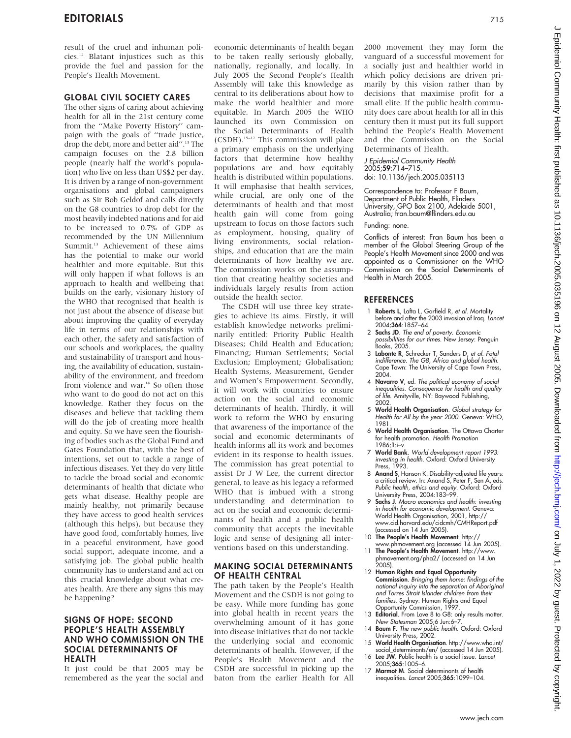result of the cruel and inhuman policies.12 Blatant injustices such as this provide the fuel and passion for the People's Health Movement.

## GLOBAL CIVIL SOCIETY CARES

The other signs of caring about achieving health for all in the 21st century come from the ''Make Poverty History'' campaign with the goals of ''trade justice, drop the debt, more and better aid''.13 The campaign focuses on the 2.8 billion people (nearly half the world's population) who live on less than US\$2 per day. It is driven by a range of non-government organisations and global campaigners such as Sir Bob Geldof and calls directly on the G8 countries to drop debt for the most heavily indebted nations and for aid to be increased to 0.7% of GDP as recommended by the UN Millennium Summit.<sup>13</sup> Achievement of these aims has the potential to make our world healthier and more equitable. But this will only happen if what follows is an approach to health and wellbeing that builds on the early, visionary history of the WHO that recognised that health is not just about the absence of disease but about improving the quality of everyday life in terms of our relationships with each other, the safety and satisfaction of our schools and workplaces, the quality and sustainability of transport and housing, the availability of education, sustainability of the environment, and freedom from violence and war.<sup>14</sup> So often those who want to do good do not act on this knowledge. Rather they focus on the diseases and believe that tackling them will do the job of creating more health and equity. So we have seen the flourishing of bodies such as the Global Fund and Gates Foundation that, with the best of intentions, set out to tackle a range of infectious diseases. Yet they do very little to tackle the broad social and economic determinants of health that dictate who gets what disease. Healthy people are mainly healthy, not primarily because they have access to good health services (although this helps), but because they have good food, comfortably homes, live in a peaceful environment, have good social support, adequate income, and a satisfying job. The global public health community has to understand and act on this crucial knowledge about what creates health. Are there any signs this may be happening?

### SIGNS OF HOPE: SECOND PEOPLE'S HEALTH ASSEMBLY AND WHO COMMISSION ON THE SOCIAL DETERMINANTS OF HEALTH

It just could be that 2005 may be remembered as the year the social and

economic determinants of health began to be taken really seriously globally, nationally, regionally, and locally. In July 2005 the Second People's Health Assembly will take this knowledge as central to its deliberations about how to make the world healthier and more equitable. In March 2005 the WHO launched its own Commission on the Social Determinants of Health (CSDH).15–17 This commission will place a primary emphasis on the underlying factors that determine how healthy populations are and how equitably health is distributed within populations. It will emphasise that health services, while crucial, are only one of the determinants of health and that most health gain will come from going upstream to focus on those factors such as employment, housing, quality of living environments, social relationships, and education that are the main determinants of how healthy we are. The commission works on the assumption that creating healthy societies and individuals largely results from action outside the health sector.

The CSDH will use three key strategies to achieve its aims. Firstly, it will establish knowledge networks preliminarily entitled: Priority Public Health Diseases; Child Health and Education; Financing; Human Settlements; Social Exclusion; Employment; Globalisation; Health Systems, Measurement, Gender and Women's Empowerment. Secondly, it will work with countries to ensure action on the social and economic determinants of health. Thirdly, it will work to reform the WHO by ensuring that awareness of the importance of the social and economic determinants of health informs all its work and becomes evident in its response to health issues. The commission has great potential to assist Dr J W Lee, the current director general, to leave as his legacy a reformed WHO that is imbued with a strong understanding and determination to act on the social and economic determinants of health and a public health community that accepts the inevitable logic and sense of designing all interventions based on this understanding.

### MAKING SOCIAL DETERMINANTS OF HEALTH CENTRAL

The path taken by the People's Health Movement and the CSDH is not going to be easy. While more funding has gone into global health in recent years the overwhelming amount of it has gone into disease initiatives that do not tackle the underlying social and economic determinants of health. However, if the People's Health Movement and the CSDH are successful in picking up the baton from the earlier Health for All

2000 movement they may form the vanguard of a successful movement for a socially just and healthier world in which policy decisions are driven primarily by this vision rather than by decisions that maximise profit for a small elite. If the public health community does care about health for all in this century then it must put its full support behind the People's Health Movement and the Commission on the Social Determinants of Health.

J Epidemiol Community Health 2005;59:714–715. doi: 10.1136/jech.2005.035113

Correspondence to: Professor F Baum, Department of Public Health, Flinders University, GPO Box 2100, Adelaide 5001, Australia; fran.baum@flinders.edu.au

#### Funding: none.

Conflicts of interest: Fran Baum has been a member of the Global Steering Group of the People's Health Movement since 2000 and was appointed as a Commissioner on the WHO Commission on the Social Determinants of Health in March 2005.

### **REFERENCES**

- 1 Roberts L, Lafta L, Garfield R, et al. Mortality before and after the 2003 invasion of Iraq. Lancet 2004;364:1857–64.
- 2 Sachs JD. The end of poverty. Economic possibilities for our times. New Jersey: Penguin Books, 2005.
- 3 Labonte R, Schrecker T, Sanders D, et al. Fatal indifference. The G8, Africa and global health. Cape Town: The University of Cape Town Press, 2004.
- 4 Navarro V, ed. The political economy of social inequalities. Consequence for health and quality of life. Amityville, NY: Baywood Publishing, 2002.
- 5 World Health Organisation. Global strategy for Health for All by the year 2000. Geneva: WHO, 1981.
- 6 World Health Organisation. The Ottawa Charter for health promotion. Health Promotion 1986;1:i–v.
- 7 World Bank. World development report 1993: investing in health. Oxford: Oxford University Press, 1993.
- 8 Anand S, Hanson K. Disability-adjusted life years: a critical review. In: Anand S, Peter F, Sen A, eds. Public health, ethics and equity. Oxford: Oxford University Press, 2004:183–99.
- 9 Sachs J. Macro economics and health: investing in health for economic development. Geneva: World Health Organisation, 2001, http:// www.cid.harvard.edu/cidcmh/CMHReport.pdf (accessed on 14 Jun 2005).
- 10 The People's Health Movement. http://
- www.phmovement.org (accessed 14 Jun 2005). 11 The People's Health Movement. http://www. phmovement.org/pha2/ (accessed on 14 Jun 2005).
- 12 Human Rights and Equal Opportunity Commission. Bringing them home: findings of the national inquiry into the separation of Aboriginal and Torres Strait Islander children from their families. Sydney: Human Rights and Equal Opportunity Commission, 1997.
- 13 Editorial. From Love 8 to G8: only results matter. New Statesman 2005;6 Jun:6-7
- 14 Baum F. The new public health. Oxford: Oxford University Press, 2002.
- 15 World Health Organisation. http://www.who.int/ social\_determinants/en/ (accessed 14 Jun 2005). Lee JW. Public health is a social issue. Lancet
- 2005;365:1005–6. 17 Marmot M. Social determinants of health
- inequalities. Lancet 2005;365:1099–104.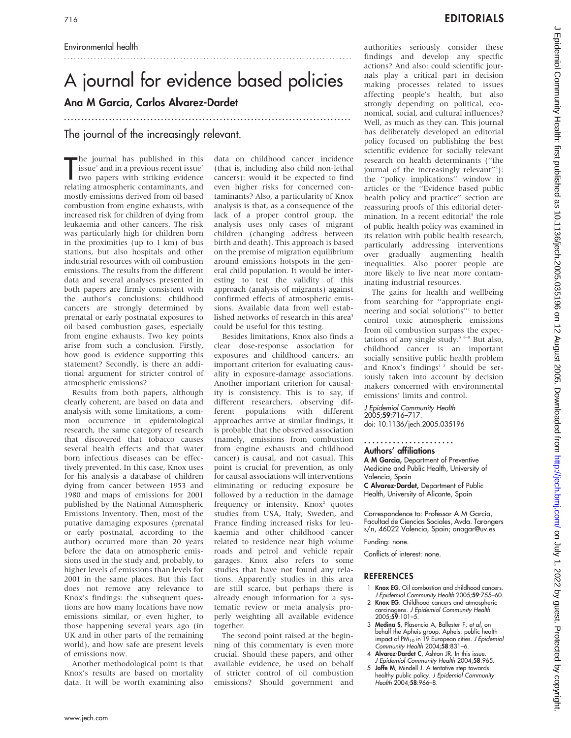## Environmental health

## A journal for evidence based policies Ana M Garcia, Carlos Alvarez-Dardet

.......................................................................................

## ...................................................................................

## The journal of the increasingly relevant.

The journal has published in this<br>
issue<sup>1</sup> and in a previous recent issue<sup>2</sup><br>
two papers with striking evidence<br>
relating atmospheric contaminants, and he journal has published in this issue<sup>1</sup> and in a previous recent issue<sup>2</sup> two papers with striking evidence mostly emissions derived from oil based combustion from engine exhausts, with increased risk for children of dying from leukaemia and other cancers. The risk was particularly high for children born in the proximities (up to 1 km) of bus stations, but also hospitals and other industrial resources with oil combustion emissions. The results from the different data and several analyses presented in both papers are firmly consistent with the author's conclusions: childhood cancers are strongly determined by prenatal or early postnatal exposures to oil based combustion gases, especially from engine exhausts. Two key points arise from such a conclusion. Firstly, how good is evidence supporting this statement? Secondly, is there an additional argument for stricter control of atmospheric emissions?

Results from both papers, although clearly coherent, are based on data and analysis with some limitations, a common occurrence in epidemiological research, the same category of research that discovered that tobacco causes several health effects and that water born infectious diseases can be effectively prevented. In this case, Knox uses for his analysis a database of children dying from cancer between 1953 and 1980 and maps of emissions for 2001 published by the National Atmospheric Emissions Inventory. Then, most of the putative damaging exposures (prenatal or early postnatal, according to the author) occurred more than 20 years before the data on atmospheric emissions used in the study and, probably, to higher levels of emissions than levels for 2001 in the same places. But this fact does not remove any relevance to Knox's findings: the subsequent questions are how many locations have now emissions similar, or even higher, to those happening several years ago (in UK and in other parts of the remaining world), and how safe are present levels of emissions now.

Another methodological point is that Knox's results are based on mortality data. It will be worth examining also data on childhood cancer incidence (that is, including also child non-lethal cancers): would it be expected to find even higher risks for concerned contaminants? Also, a particularity of Knox analysis is that, as a consequence of the lack of a proper control group, the analysis uses only cases of migrant children (changing address between birth and death). This approach is based on the premise of migration equilibrium around emissions hotspots in the general child population. It would be interesting to test the validity of this approach (analysis of migrants) against confirmed effects of atmospheric emissions. Available data from well established networks of research in this area<sup>3</sup> could be useful for this testing.

Besides limitations, Knox also finds a clear dose-response association for exposures and childhood cancers, an important criterion for evaluating causality in exposure-damage associations. Another important criterion for causality is consistency. This is to say, if different researchers, observing different populations with different approaches arrive at similar findings, it is probable that the observed association (namely, emissions from combustion from engine exhausts and childhood cancer) is causal, and not casual. This point is crucial for prevention, as only for causal associations will interventions eliminating or reducing exposure be followed by a reduction in the damage frequency or intensity. Knox<sup>2</sup> quotes studies from USA, Italy, Sweden, and France finding increased risks for leukaemia and other childhood cancer related to residence near high volume roads and petrol and vehicle repair garages. Knox also refers to some studies that have not found any relations. Apparently studies in this area are still scarce, but perhaps there is already enough information for a systematic review or meta analysis properly weighting all available evidence together.

The second point raised at the beginning of this commentary is even more crucial. Should these papers, and other available evidence, be used on behalf of stricter control of oil combustion emissions? Should government and

authorities seriously consider these findings and develop any specific actions? And also: could scientific journals play a critical part in decision making processes related to issues affecting people's health, but also strongly depending on political, economical, social, and cultural influences? Well, as much as they can. This journal has deliberately developed an editorial policy focused on publishing the best scientific evidence for socially relevant research on health determinants (''the journal of the increasingly relevant''4 ): the ''policy implications'' window in articles or the ''Evidence based public health policy and practice'' section are reassuring proofs of this editorial determination. In a recent editorial<sup>5</sup> the role of public health policy was examined in its relation with public health research, particularly addressing interventions over gradually augmenting health inequalities. Also poorer people are more likely to live near more contaminating industrial resources.

The gains for health and wellbeing from searching for ''appropriate engineering and social solutions''1 to better control toxic atmospheric emissions from oil combustion surpass the expectations of any single study. $3^{6-8}$  But also, childhood cancer is an important socially sensitive public health problem and Knox's findings<sup> $12$ </sup> should be seriously taken into account by decision makers concerned with environmental emissions' limits and control.

J Epidemiol Community Health 2005;59:716–717. doi: 10.1136/jech.2005.035196

## ......................

Authors' affiliations

A M Garcia, Department of Preventive Medicine and Public Health, University of Valencia, Spain

C Alvarez-Dardet, Department of Public Health, University of Alicante, Spain

Correspondence to: Professor A M Garcia, Facultad de Ciencias Sociales, Avda. Tarongers s/n, 46022 Valencia, Spain; anagar@uv.es

Funding: none.

Conflicts of interest: none.

### REFERENCES

- 1 Knox EG. Oil combustion and childhood cancers. J Epidemiol Community Health 2005;59:755–60.
- 2 Knox EG. Childhood cancers and atmospheric carcinogens. J Epidemiol Community Health  $2005:59:101-5$ .
- 3 Medina S, Plasencia A, Ballester F, et al, on behalf the Apheis group. Apheis: public health impact of  $PM_{10}$  in 19 European cities. J Epidemiol Community Health 2004;58:831–6.
- 4 Alvarez-Dardet C, Ashton JR. In this issue.
- J Epidemiol Community Health 2004;58:965. 5 Joffe M, Mindell J. A tentative step towards healthy public policy. J Epidemiol Community Health 2004;58:966–8.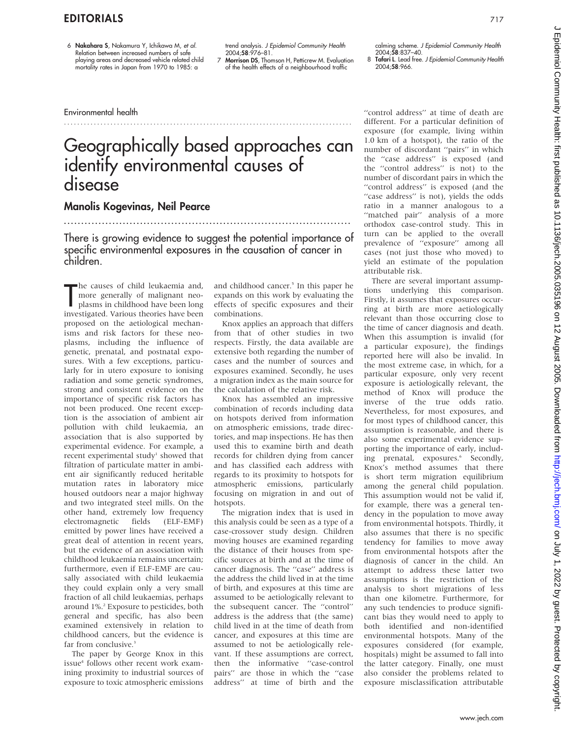## **EDITORIALS** 717

6 Nakahara S, Nakamura Y, Ichikawa M, et al. Relation between increased numbers of safe playing areas and decreased vehicle related child mortality rates in Japan from 1970 to 1985: a

trend analysis. J Epidemiol Community Health 2004;58:976–81.

7 Morrison DS, Thomson H, Petticrew M. Evaluation of the health effects of a neighbourhood traffic

calming scheme. *J Epidemiol Community Health*<br>2004;**58**:837–40.

8 Tafari L. Lead free. J Epidemiol Community Health 2004;58:966.

## Environmental health

# Geographically based approaches can identify environmental causes of disease

.......................................................................................

## Manolis Kogevinas, Neil Pearce

...................................................................................

There is growing evidence to suggest the potential importance of specific environmental exposures in the causation of cancer in children.

The causes of child leukaemia and,<br>
more generally of malignant neo-<br>
plasms in childhood have been long<br>
investigated. Various theories have been he causes of child leukaemia and, more generally of malignant neoplasms in childhood have been long proposed on the aetiological mechanisms and risk factors for these neoplasms, including the influence of genetic, prenatal, and postnatal exposures. With a few exceptions, particularly for in utero exposure to ionising radiation and some genetic syndromes, strong and consistent evidence on the importance of specific risk factors has not been produced. One recent exception is the association of ambient air pollution with child leukaemia, an association that is also supported by experimental evidence. For example, a recent experimental study<sup>1</sup> showed that filtration of particulate matter in ambient air significantly reduced heritable mutation rates in laboratory mice housed outdoors near a major highway and two integrated steel mills. On the other hand, extremely low frequency electromagnetic fields (ELF-EMF) emitted by power lines have received a great deal of attention in recent years, but the evidence of an association with childhood leukaemia remains uncertain; furthermore, even if ELF-EMF are causally associated with child leukaemia they could explain only a very small fraction of all child leukaemias, perhaps around 1%.2 Exposure to pesticides, both general and specific, has also been examined extensively in relation to childhood cancers, but the evidence is far from conclusive.<sup>3</sup>

The paper by George Knox in this issue<sup>4</sup> follows other recent work examining proximity to industrial sources of exposure to toxic atmospheric emissions and childhood cancer.<sup>5</sup> In this paper he expands on this work by evaluating the effects of specific exposures and their combinations.

Knox applies an approach that differs from that of other studies in two respects. Firstly, the data available are extensive both regarding the number of cases and the number of sources and exposures examined. Secondly, he uses a migration index as the main source for the calculation of the relative risk.

Knox has assembled an impressive combination of records including data on hotspots derived from information on atmospheric emissions, trade directories, and map inspections. He has then used this to examine birth and death records for children dying from cancer and has classified each address with regards to its proximity to hotspots for atmospheric emissions, particularly focusing on migration in and out of hotspots.

The migration index that is used in this analysis could be seen as a type of a case-crossover study design. Children moving houses are examined regarding the distance of their houses from specific sources at birth and at the time of cancer diagnosis. The ''case'' address is the address the child lived in at the time of birth, and exposures at this time are assumed to be aetiologically relevant to the subsequent cancer. The ''control'' address is the address that (the same) child lived in at the time of death from cancer, and exposures at this time are assumed to not be aetiologically relevant. If these assumptions are correct, then the informative ''case-control pairs'' are those in which the ''case address'' at time of birth and the

''control address'' at time of death are different. For a particular definition of exposure (for example, living within 1.0 km of a hotspot), the ratio of the number of discordant ''pairs'' in which the ''case address'' is exposed (and the ''control address'' is not) to the number of discordant pairs in which the "control address" is exposed (and the "case address" is not), yields the odds ratio in a manner analogous to a "matched pair" analysis of a more orthodox case-control study. This in turn can be applied to the overall prevalence of ''exposure'' among all cases (not just those who moved) to yield an estimate of the population attributable risk.

There are several important assumptions underlying this comparison. Firstly, it assumes that exposures occurring at birth are more aetiologically relevant than those occurring close to the time of cancer diagnosis and death. When this assumption is invalid (for a particular exposure), the findings reported here will also be invalid. In the most extreme case, in which, for a particular exposure, only very recent exposure is aetiologically relevant, the method of Knox will produce the inverse of the true odds ratio. Nevertheless, for most exposures, and for most types of childhood cancer, this assumption is reasonable, and there is also some experimental evidence supporting the importance of early, including prenatal, exposures.<sup>6</sup> Secondly, Knox's method assumes that there is short term migration equilibrium among the general child population. This assumption would not be valid if, for example, there was a general tendency in the population to move away from environmental hotspots. Thirdly, it also assumes that there is no specific tendency for families to move away from environmental hotspots after the diagnosis of cancer in the child. An attempt to address these latter two assumptions is the restriction of the analysis to short migrations of less than one kilometre. Furthermore, for any such tendencies to produce significant bias they would need to apply to both identified and non-identified environmental hotspots. Many of the exposures considered (for example, hospitals) might be assumed to fall into the latter category. Finally, one must also consider the problems related to exposure misclassification attributable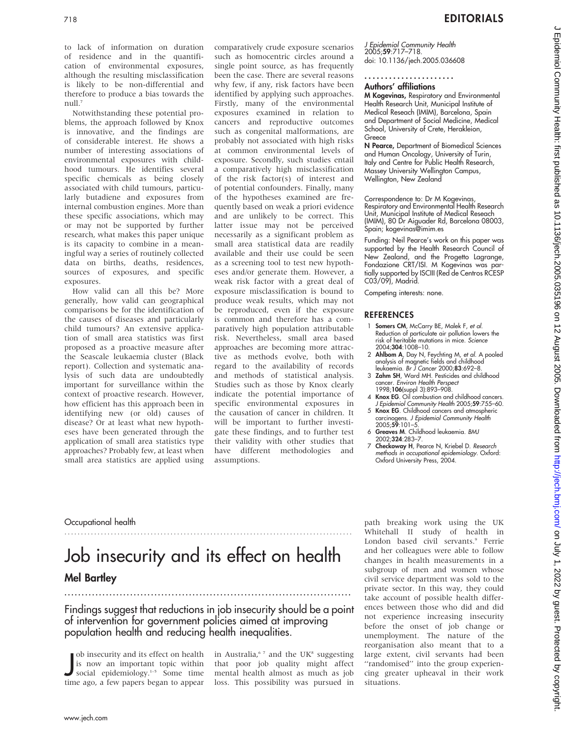to lack of information on duration of residence and in the quantification of environmental exposures, although the resulting misclassification is likely to be non-differential and therefore to produce a bias towards the null.7

Notwithstanding these potential problems, the approach followed by Knox is innovative, and the findings are of considerable interest. He shows a number of interesting associations of environmental exposures with childhood tumours. He identifies several specific chemicals as being closely associated with child tumours, particularly butadiene and exposures from internal combustion engines. More than these specific associations, which may or may not be supported by further research, what makes this paper unique is its capacity to combine in a meaningful way a series of routinely collected data on births, deaths, residences, sources of exposures, and specific exposures.

How valid can all this be? More generally, how valid can geographical comparisons be for the identification of the causes of diseases and particularly child tumours? An extensive application of small area statistics was first proposed as a proactive measure after the Seascale leukaemia cluster (Black report). Collection and systematic analysis of such data are undoubtedly important for surveillance within the context of proactive research. However, how efficient has this approach been in identifying new (or old) causes of disease? Or at least what new hypotheses have been generated through the application of small area statistics type approaches? Probably few, at least when small area statistics are applied using

comparatively crude exposure scenarios such as homocentric circles around a single point source, as has frequently been the case. There are several reasons why few, if any, risk factors have been identified by applying such approaches. Firstly, many of the environmental exposures examined in relation to cancers and reproductive outcomes such as congenital malformations, are probably not associated with high risks at common environmental levels of exposure. Secondly, such studies entail a comparatively high misclassification of the risk factor(s) of interest and of potential confounders. Finally, many of the hypotheses examined are frequently based on weak a priori evidence and are unlikely to be correct. This latter issue may not be perceived necessarily as a significant problem as small area statistical data are readily available and their use could be seen as a screening tool to test new hypotheses and/or generate them. However, a weak risk factor with a great deal of exposure misclassification is bound to produce weak results, which may not be reproduced, even if the exposure is common and therefore has a comparatively high population attributable risk. Nevertheless, small area based approaches are becoming more attractive as methods evolve, both with regard to the availability of records and methods of statistical analysis. Studies such as those by Knox clearly indicate the potential importance of specific environmental exposures in the causation of cancer in children. It will be important to further investigate these findings, and to further test their validity with other studies that have different methodologies and assumptions.

J Epidemiol Community Health<br>2005;**59**:717–718. doi: 10.1136/jech.2005.036608

......................

## Authors' affiliations

M Kogevinas, Respiratory and Environmental Health Research Unit, Municipal Institute of Medical Reseach (IMIM), Barcelona, Spain and Department of Social Medicine, Medical School, University of Crete, Herakleion, Greece

N Pearce, Department of Biomedical Sciences and Human Oncology, University of Turin, Italy and Centre for Public Health Research, Massey University Wellington Campus, Wellington, New Zealand

Correspondence to: Dr M Kogevinas, Respiratory and Environmental Health Research Unit, Municipal Institute of Medical Reseach (IMIM), 80 Dr Aiguader Rd, Barcelona 08003, Spain; kogevinas@imim.es

Funding: Neil Pearce's work on this paper was supported by the Health Research Council of New Zealand, and the Progetto Lagrange, Fondazione CRT/ISI. M Kogevinas was partially supported by ISCIII (Red de Centros RCESP C03/09), Madrid.

Competing interests: none.

#### REFERENCES

- 1 Somers CM, McCarry BE, Malek F, et al. Reduction of particulate air pollution lowers the risk of heritable mutations in mice. Science 2004;304:1008–10.
- 2 Ahlbom A, Day N, Feychting M, *et al.* A pooled<br>analysis of magnetic fields and childhood<br>leukaemia. *Br J Cancer* 2000;**83**:692–8.
- 3 Zahm SH, Ward MH. Pesticides and childhood cancer. Environ Health Perspect
- 1998;106(suppl 3):893–908. 4 Knox EG. Oil combustion and childhood cancers. J Epidemiol Community Health 2005;59:755-60.
- 5 Knox EG. Childhood cancers and atmospheric carcinogens. *J Epidemiol Community Health*<br>2005;**59**:101–5.
- 6 Greaves M. Childhood leukaemia. BMJ 2002;324:283–7.
- 7 Checkoway H, Pearce N, Kriebel D. Research methods in occupational epidemiology. Oxford: Oxford University Press, 2004.

## Occupational health

## Job insecurity and its effect on health Mel Bartley

.......................................................................................

## Findings suggest that reductions in job insecurity should be a point of intervention for government policies aimed at improving population health and reducing health inequalities.

...................................................................................

Job insecurity and its effect on health<br>is now an important topic within<br>social epidemiology.<sup>1-5</sup> Some time<br>time ago, a few papers began to appear ob insecurity and its effect on health is now an important topic within social epidemiology.<sup>1-5</sup> Some time

in Australia, $67$  and the UK $8$  suggesting that poor job quality might affect mental health almost as much as job loss. This possibility was pursued in path breaking work using the UK Whitehall II study of health in London based civil servants.<sup>9</sup> Ferrie and her colleagues were able to follow changes in health measurements in a subgroup of men and women whose civil service department was sold to the private sector. In this way, they could take account of possible health differences between those who did and did not experience increasing insecurity before the onset of job change or unemployment. The nature of the reorganisation also meant that to a large extent, civil servants had been ''randomised'' into the group experiencing greater upheaval in their work situations.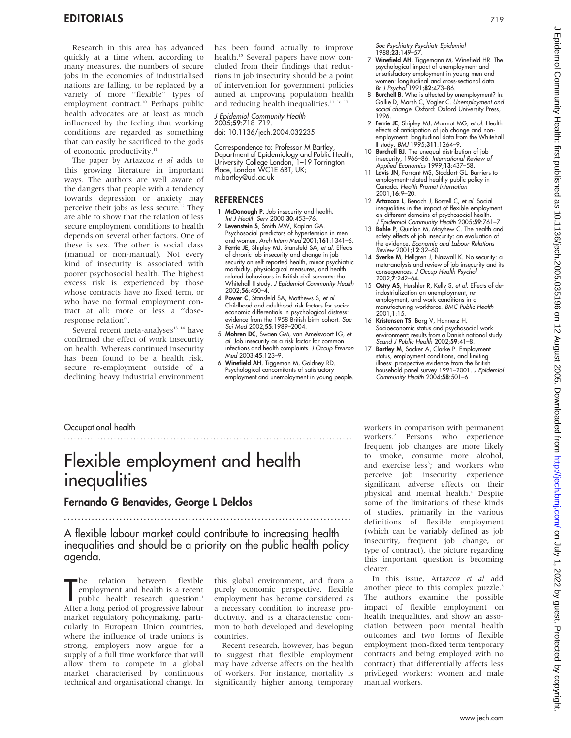Research in this area has advanced quickly at a time when, according to many measures, the numbers of secure jobs in the economies of industrialised nations are falling, to be replaced by a variety of more ''flexible'' types of employment contract.10 Perhaps public health advocates are at least as much influenced by the feeling that working conditions are regarded as something that can easily be sacrificed to the gods of economic productivity.<sup>11</sup>

The paper by Artazcoz et al adds to this growing literature in important ways. The authors are well aware of the dangers that people with a tendency towards depression or anxiety may perceive their jobs as less secure.<sup>12</sup> They are able to show that the relation of less secure employment conditions to health depends on several other factors. One of these is sex. The other is social class (manual or non-manual). Not every kind of insecurity is associated with poorer psychosocial health. The highest excess risk is experienced by those whose contracts have no fixed term, or who have no formal employment contract at all: more or less a ''doseresponse relation''.

Several recent meta-analyses $13/14$  have confirmed the effect of work insecurity on health. Whereas continued insecurity has been found to be a health risk, secure re-employment outside of a declining heavy industrial environment has been found actually to improve health.<sup>15</sup> Several papers have now concluded from their findings that reductions in job insecurity should be a point of intervention for government policies aimed at improving population health and reducing health inequalities.<sup>11 16 17</sup>

J Epidemiol Community Health 2005;59:718–719. doi: 10.1136/jech.2004.032235

Correspondence to: Professor M Bartley, Department of Epidemiology and Public Health, University College London, 1–19 Torrington Place, London WC1E 6BT, UK; m.bartley@ucl.ac.uk

### **REFERENCES**

- 1 **McDonough P**. Job insecurity and health. Int J Health Serv 2000;30:453–76.
- 2 Levenstein S, Smith MW, Kaplan GA. Psychosocial predictors of hypertension in men and women. Arch Intern Med 2001;161:1341–6.
- 3 Ferrie JE, Shipley MJ, Stansfeld SA, et al. Effects of chronic job insecurity and change in job security on self reported health, minor psychiatric morbidity, physiological measures, and health related behaviours in British civil servants: the<br>Whitehall II study. *J Epidemiol Community Health* 2002;56:450–4.
- 4 Power C, Stansfeld SA, Matthews S, et al. Childhood and adulthood risk factors for socioeconomic differentials in psychological distress: evidence from the 1958 British birth cohort. Soc Sci Med 2002;55:1989-2004.
- 5 Mohren DC, Swaen GM, van Amelsvoort LG, et al. Job insecurity as a risk factor for common infections and health complaints. J Occup Environ Med 2003;45:123–9.
- 6 Winefield AH, Tiggeman M, Goldney RD. Psychological concomitants of satisfactory employment and unemployment in young people.

.......................................................................................

Soc Psychiatry Psychiatr Epidemiol<br>1988;**23**:149–57.

- 7 Winefield AH, Tiggemann M, Winefield HR. The psychological impact of unemployment and unsatisfactory employment in young men and women: longitudinal and cross-sectional data. Br J Psychol 1991;82:473–86.
- 8 **Burchell B**. Who is affected by unemployment? In:<br>Gallie D, Marsh C, Vogler C. Un*employment and* social change. Oxford: Oxford University Press, 1996.
- 9 Ferrie JE, Shipley MJ, Marmot MG, et al. Health effects of anticipation of job change and nonemployment: longitudinal data from the Whitehall Il study. BMJ 1995;311:1264-9.
- 10 Burchell BJ. The unequal distribution of job insecurity, 1966–86. International Review of Applied Economics 1999;13:437–58.
- 11 Lavis JN, Farrant MS, Stoddart GL. Barriers to employment-related healthy public policy in Canada. Health Promot Internation 2001;16:9–20.
- 12 Artazcoz L, Benach J, Borrell C, et al. Social inequalities in the impact of flexible employment on different domains of psychosocial health. J Epidemiol Community Health 2005;59:761–7.
- 13 Bohle P, Quinlan M, Mayhew C. The health and safety effects of job insecurity: an evaluation of the evidence. Economic and Labour Relations Review 2001;12:32–60.
- 14 Sverke M, Hellgren J, Naswall K. No security: a meta-analysis and review of job insecurity and its consequences. J Occup Health Psychol 2002;7:242–64.
- 15 Ostry AS, Hershler R, Kelly S, et al. Effects of deindustrialization on unemployment, reemployment, and work conditions in a manufacturing workforce. BMC Public Health 2001;1:15.
- 16 Kristensen TS, Borg V, Hannerz H. Socioeconomic status and psychosocial work environment: results from a Danish national study. Scand J Public Health 2002;59:41–8.
- 17 Bartley M, Sacker A, Clarke P. Employment status, employment conditions, and limiting illness: prospective evidence from the British household panel survey 1991–2001. *J Epidemiol*<br>Community Health 2004;**58**:501–6.

## Occupational health

# Flexible employment and health inequalities

## Fernando G Benavides, George L Delclos

A flexible labour market could contribute to increasing health inequalities and should be a priority on the public health policy agenda.

The relation between itexible<br>
employment and health is a recent<br>
public health research question.<sup>1</sup> he relation between flexible employment and health is a recent After a long period of progressive labour market regulatory policymaking, particularly in European Union countries, where the influence of trade unions is strong, employers now argue for a supply of a full time workforce that will allow them to compete in a global market characterised by continuous technical and organisational change. In

this global environment, and from a purely economic perspective, flexible employment has become considered as a necessary condition to increase productivity, and is a characteristic common to both developed and developing countries.

...................................................................................

Recent research, however, has begun to suggest that flexible employment may have adverse affects on the health of workers. For instance, mortality is significantly higher among temporary workers in comparison with permanent workers.2 Persons who experience frequent job changes are more likely to smoke, consume more alcohol, and exercise less<sup>3</sup>; and workers who perceive job insecurity experience significant adverse effects on their physical and mental health.4 Despite some of the limitations of these kinds of studies, primarily in the various definitions of flexible employment (which can be variably defined as job insecurity, frequent job change, or type of contract), the picture regarding this important question is becoming clearer.

In this issue, Artazcoz et al add another piece to this complex puzzle.<sup>5</sup> The authors examine the possible impact of flexible employment on health inequalities, and show an association between poor mental health outcomes and two forms of flexible employment (non-fixed term temporary contracts and being employed with no contract) that differentially affects less privileged workers: women and male manual workers.